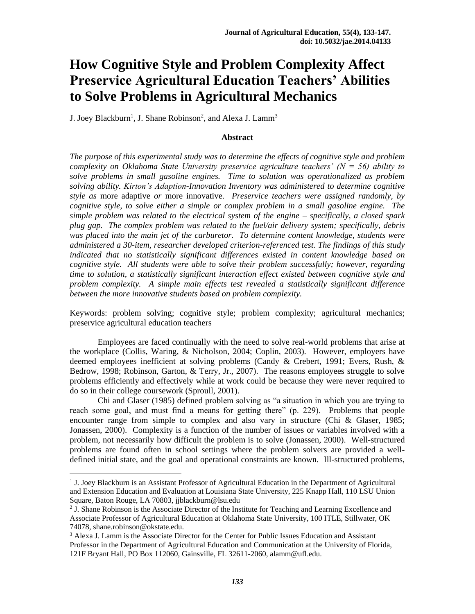# **How Cognitive Style and Problem Complexity Affect Preservice Agricultural Education Teachers' Abilities to Solve Problems in Agricultural Mechanics**

J. Joey Blackburn<sup>1</sup>, J. Shane Robinson<sup>2</sup>, and Alexa J. Lamm<sup>3</sup>

#### **Abstract**

*The purpose of this experimental study was to determine the effects of cognitive style and problem complexity on Oklahoma State University preservice agriculture teachers' (N = 56) ability to solve problems in small gasoline engines. Time to solution was operationalized as problem solving ability. Kirton's Adaption-Innovation Inventory was administered to determine cognitive style as* more adaptive *or* more innovative. *Preservice teachers were assigned randomly, by cognitive style, to solve either a simple or complex problem in a small gasoline engine. The simple problem was related to the electrical system of the engine – specifically, a closed spark plug gap. The complex problem was related to the fuel/air delivery system; specifically, debris was placed into the main jet of the carburetor. To determine content knowledge, students were administered a 30-item, researcher developed criterion-referenced test. The findings of this study indicated that no statistically significant differences existed in content knowledge based on cognitive style. All students were able to solve their problem successfully; however, regarding time to solution, a statistically significant interaction effect existed between cognitive style and problem complexity. A simple main effects test revealed a statistically significant difference between the more innovative students based on problem complexity.*

Keywords: problem solving; cognitive style; problem complexity; agricultural mechanics; preservice agricultural education teachers

Employees are faced continually with the need to solve real-world problems that arise at the workplace (Collis, Waring, & Nicholson, 2004; Coplin, 2003). However, employers have deemed employees inefficient at solving problems (Candy & Crebert, 1991; Evers, Rush, & Bedrow, 1998; Robinson, Garton, & Terry, Jr., 2007). The reasons employees struggle to solve problems efficiently and effectively while at work could be because they were never required to do so in their college coursework (Sproull, 2001).

Chi and Glaser (1985) defined problem solving as "a situation in which you are trying to reach some goal, and must find a means for getting there" (p. 229). Problems that people encounter range from simple to complex and also vary in structure (Chi  $\&$  Glaser, 1985; Jonassen, 2000). Complexity is a function of the number of issues or variables involved with a problem, not necessarily how difficult the problem is to solve (Jonassen, 2000). Well-structured problems are found often in school settings where the problem solvers are provided a welldefined initial state, and the goal and operational constraints are known. Ill-structured problems,

 $\overline{\phantom{a}}$ 

<sup>&</sup>lt;sup>1</sup> J. Joey Blackburn is an Assistant Professor of Agricultural Education in the Department of Agricultural and Extension Education and Evaluation at Louisiana State University, 225 Knapp Hall, 110 LSU Union Square, Baton Rouge, LA 70803, jjblackburn@lsu.edu

<sup>&</sup>lt;sup>2</sup> J. Shane Robinson is the Associate Director of the Institute for Teaching and Learning Excellence and Associate Professor of Agricultural Education at Oklahoma State University, 100 ITLE, Stillwater, OK 74078, shane.robinson@okstate.edu.

<sup>&</sup>lt;sup>3</sup> Alexa J. Lamm is the Associate Director for the Center for Public Issues Education and Assistant Professor in the Department of Agricultural Education and Communication at the University of Florida, 121F Bryant Hall, PO Box 112060, Gainsville, FL 32611-2060, alamm@ufl.edu.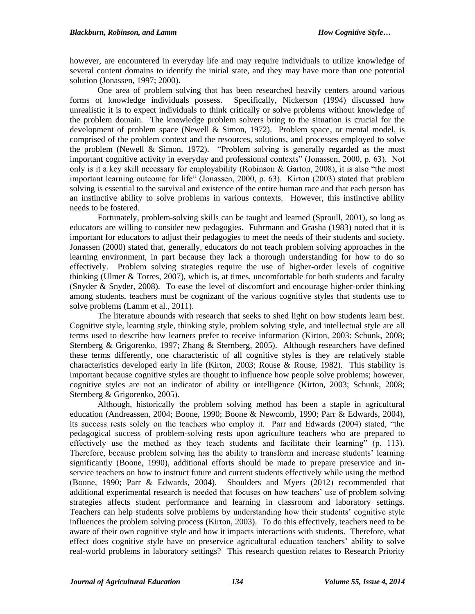however, are encountered in everyday life and may require individuals to utilize knowledge of several content domains to identify the initial state, and they may have more than one potential solution (Jonassen, 1997; 2000).

One area of problem solving that has been researched heavily centers around various forms of knowledge individuals possess. Specifically, Nickerson (1994) discussed how unrealistic it is to expect individuals to think critically or solve problems without knowledge of the problem domain. The knowledge problem solvers bring to the situation is crucial for the development of problem space (Newell  $& Simon, 1972$ ). Problem space, or mental model, is comprised of the problem context and the resources, solutions, and processes employed to solve the problem (Newell & Simon, 1972). "Problem solving is generally regarded as the most important cognitive activity in everyday and professional contexts" (Jonassen, 2000, p. 63). Not only is it a key skill necessary for employability (Robinson & Garton, 2008), it is also "the most important learning outcome for life" (Jonassen, 2000, p. 63). Kirton (2003) stated that problem solving is essential to the survival and existence of the entire human race and that each person has an instinctive ability to solve problems in various contexts. However, this instinctive ability needs to be fostered.

Fortunately, problem-solving skills can be taught and learned (Sproull, 2001), so long as educators are willing to consider new pedagogies. Fuhrmann and Grasha (1983) noted that it is important for educators to adjust their pedagogies to meet the needs of their students and society. Jonassen (2000) stated that, generally, educators do not teach problem solving approaches in the learning environment, in part because they lack a thorough understanding for how to do so effectively. Problem solving strategies require the use of higher-order levels of cognitive thinking (Ulmer  $&$  Torres, 2007), which is, at times, uncomfortable for both students and faculty (Snyder & Snyder, 2008). To ease the level of discomfort and encourage higher-order thinking among students, teachers must be cognizant of the various cognitive styles that students use to solve problems (Lamm et al., 2011).

The literature abounds with research that seeks to shed light on how students learn best. Cognitive style, learning style, thinking style, problem solving style, and intellectual style are all terms used to describe how learners prefer to receive information (Kirton, 2003: Schunk, 2008; Sternberg & Grigorenko, 1997; Zhang & Sternberg, 2005). Although researchers have defined these terms differently, one characteristic of all cognitive styles is they are relatively stable characteristics developed early in life (Kirton, 2003; Rouse & Rouse, 1982). This stability is important because cognitive styles are thought to influence how people solve problems; however, cognitive styles are not an indicator of ability or intelligence (Kirton, 2003; Schunk, 2008; Sternberg & Grigorenko, 2005).

Although, historically the problem solving method has been a staple in agricultural education (Andreassen, 2004; Boone, 1990; Boone & Newcomb, 1990; Parr & Edwards, 2004), its success rests solely on the teachers who employ it. Parr and Edwards (2004) stated, "the pedagogical success of problem-solving rests upon agriculture teachers who are prepared to effectively use the method as they teach students and facilitate their learning" (p. 113). Therefore, because problem solving has the ability to transform and increase students' learning significantly (Boone, 1990), additional efforts should be made to prepare preservice and inservice teachers on how to instruct future and current students effectively while using the method (Boone, 1990; Parr & Edwards, 2004). Shoulders and Myers (2012) recommended that additional experimental research is needed that focuses on how teachers' use of problem solving strategies affects student performance and learning in classroom and laboratory settings. Teachers can help students solve problems by understanding how their students' cognitive style influences the problem solving process (Kirton, 2003). To do this effectively, teachers need to be aware of their own cognitive style and how it impacts interactions with students. Therefore, what effect does cognitive style have on preservice agricultural education teachers' ability to solve real-world problems in laboratory settings? This research question relates to Research Priority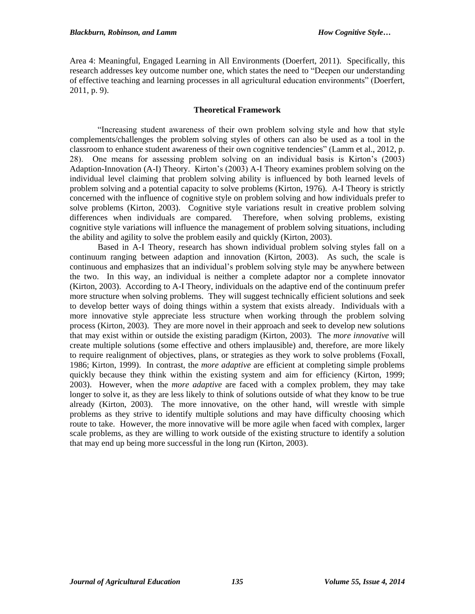Area 4: Meaningful, Engaged Learning in All Environments (Doerfert, 2011). Specifically, this research addresses key outcome number one, which states the need to "Deepen our understanding of effective teaching and learning processes in all agricultural education environments" (Doerfert, 2011, p. 9).

## **Theoretical Framework**

"Increasing student awareness of their own problem solving style and how that style complements/challenges the problem solving styles of others can also be used as a tool in the classroom to enhance student awareness of their own cognitive tendencies" (Lamm et al., 2012, p. 28). One means for assessing problem solving on an individual basis is Kirton's (2003) Adaption-Innovation (A-I) Theory. Kirton's (2003) A-I Theory examines problem solving on the individual level claiming that problem solving ability is influenced by both learned levels of problem solving and a potential capacity to solve problems (Kirton, 1976). A-I Theory is strictly concerned with the influence of cognitive style on problem solving and how individuals prefer to solve problems (Kirton, 2003). Cognitive style variations result in creative problem solving differences when individuals are compared. Therefore, when solving problems, existing cognitive style variations will influence the management of problem solving situations, including the ability and agility to solve the problem easily and quickly (Kirton, 2003).

Based in A-I Theory, research has shown individual problem solving styles fall on a continuum ranging between adaption and innovation (Kirton, 2003). As such, the scale is continuous and emphasizes that an individual's problem solving style may be anywhere between the two. In this way, an individual is neither a complete adaptor nor a complete innovator (Kirton, 2003). According to A-I Theory, individuals on the adaptive end of the continuum prefer more structure when solving problems. They will suggest technically efficient solutions and seek to develop better ways of doing things within a system that exists already. Individuals with a more innovative style appreciate less structure when working through the problem solving process (Kirton, 2003). They are more novel in their approach and seek to develop new solutions that may exist within or outside the existing paradigm (Kirton, 2003). The *more innovative* will create multiple solutions (some effective and others implausible) and, therefore, are more likely to require realignment of objectives, plans, or strategies as they work to solve problems (Foxall, 1986; Kirton, 1999). In contrast, the *more adaptive* are efficient at completing simple problems quickly because they think within the existing system and aim for efficiency (Kirton, 1999; 2003). However, when the *more adaptive* are faced with a complex problem, they may take longer to solve it, as they are less likely to think of solutions outside of what they know to be true already (Kirton, 2003). The more innovative, on the other hand, will wrestle with simple problems as they strive to identify multiple solutions and may have difficulty choosing which route to take. However, the more innovative will be more agile when faced with complex, larger scale problems, as they are willing to work outside of the existing structure to identify a solution that may end up being more successful in the long run (Kirton, 2003).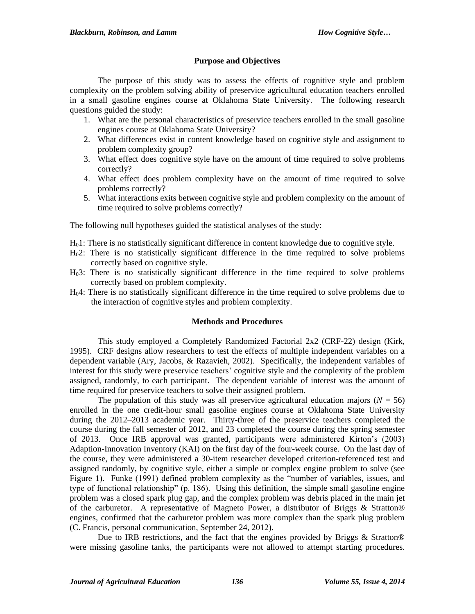## **Purpose and Objectives**

The purpose of this study was to assess the effects of cognitive style and problem complexity on the problem solving ability of preservice agricultural education teachers enrolled in a small gasoline engines course at Oklahoma State University. The following research questions guided the study:

- 1. What are the personal characteristics of preservice teachers enrolled in the small gasoline engines course at Oklahoma State University?
- 2. What differences exist in content knowledge based on cognitive style and assignment to problem complexity group?
- 3. What effect does cognitive style have on the amount of time required to solve problems correctly?
- 4. What effect does problem complexity have on the amount of time required to solve problems correctly?
- 5. What interactions exits between cognitive style and problem complexity on the amount of time required to solve problems correctly?

The following null hypotheses guided the statistical analyses of the study:

- $H<sub>0</sub>1$ : There is no statistically significant difference in content knowledge due to cognitive style.
- H02: There is no statistically significant difference in the time required to solve problems correctly based on cognitive style.
- H03: There is no statistically significant difference in the time required to solve problems correctly based on problem complexity.
- H04: There is no statistically significant difference in the time required to solve problems due to the interaction of cognitive styles and problem complexity.

#### **Methods and Procedures**

This study employed a Completely Randomized Factorial 2x2 (CRF-22) design (Kirk, 1995). CRF designs allow researchers to test the effects of multiple independent variables on a dependent variable (Ary, Jacobs, & Razavieh, 2002). Specifically, the independent variables of interest for this study were preservice teachers' cognitive style and the complexity of the problem assigned, randomly, to each participant. The dependent variable of interest was the amount of time required for preservice teachers to solve their assigned problem.

The population of this study was all preservice agricultural education majors ( $N = 56$ ) enrolled in the one credit-hour small gasoline engines course at Oklahoma State University during the 2012–2013 academic year. Thirty-three of the preservice teachers completed the course during the fall semester of 2012, and 23 completed the course during the spring semester of 2013. Once IRB approval was granted, participants were administered Kirton's (2003) Adaption-Innovation Inventory (KAI) on the first day of the four-week course. On the last day of the course, they were administered a 30-item researcher developed criterion-referenced test and assigned randomly, by cognitive style, either a simple or complex engine problem to solve (see Figure 1). Funke (1991) defined problem complexity as the "number of variables, issues, and type of functional relationship" (p. 186). Using this definition, the simple small gasoline engine problem was a closed spark plug gap, and the complex problem was debris placed in the main jet of the carburetor. A representative of Magneto Power, a distributor of Briggs & Stratton® engines, confirmed that the carburetor problem was more complex than the spark plug problem (C. Francis, personal communication, September 24, 2012).

Due to IRB restrictions, and the fact that the engines provided by Briggs & Stratton® were missing gasoline tanks, the participants were not allowed to attempt starting procedures.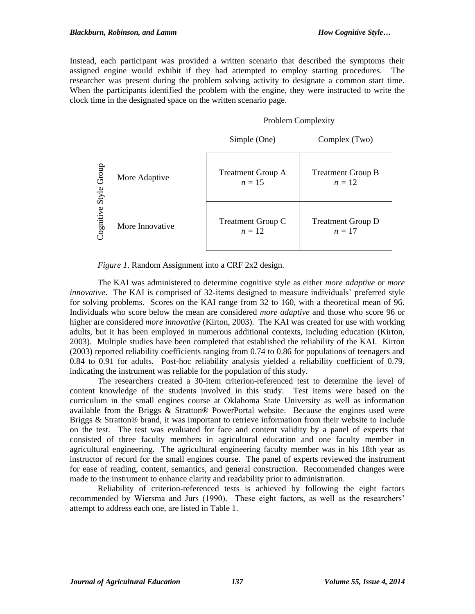Instead, each participant was provided a written scenario that described the symptoms their assigned engine would exhibit if they had attempted to employ starting procedures. The researcher was present during the problem solving activity to designate a common start time. When the participants identified the problem with the engine, they were instructed to write the clock time in the designated space on the written scenario page.

### Problem Complexity

|                |                 | Simple (One)                         | Complex (Two)                      |
|----------------|-----------------|--------------------------------------|------------------------------------|
| Group<br>Style | More Adaptive   | <b>Treatment Group A</b><br>$n = 15$ | <b>Treatment Group B</b><br>$n=12$ |
| Cognitive      | More Innovative | <b>Treatment Group C</b><br>$n=12$   | <b>Treatment Group D</b><br>$n=17$ |

*Figure 1*. Random Assignment into a CRF 2x2 design.

The KAI was administered to determine cognitive style as either *more adaptive* or *more innovative*. The KAI is comprised of 32-items designed to measure individuals' preferred style for solving problems. Scores on the KAI range from 32 to 160, with a theoretical mean of 96. Individuals who score below the mean are considered *more adaptive* and those who score 96 or higher are considered *more innovative* (Kirton, 2003). The KAI was created for use with working adults, but it has been employed in numerous additional contexts, including education (Kirton, 2003). Multiple studies have been completed that established the reliability of the KAI. Kirton (2003) reported reliability coefficients ranging from 0.74 to 0.86 for populations of teenagers and 0.84 to 0.91 for adults. Post-hoc reliability analysis yielded a reliability coefficient of 0.79, indicating the instrument was reliable for the population of this study.

The researchers created a 30-item criterion-referenced test to determine the level of content knowledge of the students involved in this study. Test items were based on the curriculum in the small engines course at Oklahoma State University as well as information available from the Briggs & Stratton® PowerPortal website. Because the engines used were Briggs & Stratton® brand, it was important to retrieve information from their website to include on the test. The test was evaluated for face and content validity by a panel of experts that consisted of three faculty members in agricultural education and one faculty member in agricultural engineering. The agricultural engineering faculty member was in his 18th year as instructor of record for the small engines course. The panel of experts reviewed the instrument for ease of reading, content, semantics, and general construction. Recommended changes were made to the instrument to enhance clarity and readability prior to administration.

Reliability of criterion-referenced tests is achieved by following the eight factors recommended by Wiersma and Jurs (1990). These eight factors, as well as the researchers' attempt to address each one, are listed in Table 1.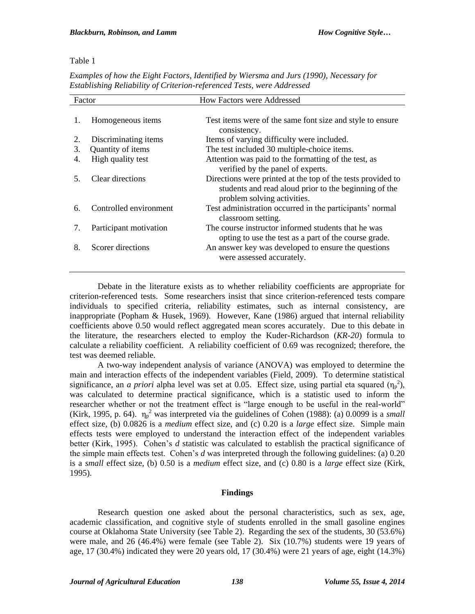## Table 1

*Examples of how the Eight Factors, Identified by Wiersma and Jurs (1990), Necessary for Establishing Reliability of Criterion-referenced Tests, were Addressed*

| Factor |                        | <b>How Factors were Addressed</b>                                                                                                                   |
|--------|------------------------|-----------------------------------------------------------------------------------------------------------------------------------------------------|
| 1.     | Homogeneous items      | Test items were of the same font size and style to ensure<br>consistency.                                                                           |
| 2.     | Discriminating items   | Items of varying difficulty were included.                                                                                                          |
| 3.     | Quantity of items      | The test included 30 multiple-choice items.                                                                                                         |
| 4.     | High quality test      | Attention was paid to the formatting of the test, as<br>verified by the panel of experts.                                                           |
| 5.     | Clear directions       | Directions were printed at the top of the tests provided to<br>students and read aloud prior to the beginning of the<br>problem solving activities. |
| 6.     | Controlled environment | Test administration occurred in the participants' normal<br>classroom setting.                                                                      |
| 7.     | Participant motivation | The course instructor informed students that he was<br>opting to use the test as a part of the course grade.                                        |
| 8.     | Scorer directions      | An answer key was developed to ensure the questions<br>were assessed accurately.                                                                    |

Debate in the literature exists as to whether reliability coefficients are appropriate for criterion-referenced tests. Some researchers insist that since criterion-referenced tests compare individuals to specified criteria, reliability estimates, such as internal consistency, are inappropriate (Popham & Husek, 1969). However, Kane (1986) argued that internal reliability coefficients above 0.50 would reflect aggregated mean scores accurately. Due to this debate in the literature, the researchers elected to employ the Kuder-Richardson (*KR-20*) formula to calculate a reliability coefficient. A reliability coefficient of 0.69 was recognized; therefore, the test was deemed reliable.

A two-way independent analysis of variance (ANOVA) was employed to determine the main and interaction effects of the independent variables (Field, 2009). To determine statistical significance, an *a priori* alpha level was set at 0.05. Effect size, using partial eta squared  $(\eta_p^2)$ , was calculated to determine practical significance, which is a statistic used to inform the researcher whether or not the treatment effect is "large enough to be useful in the real-world" (Kirk, 1995, p. 64).  $\eta_p^2$  was interpreted via the guidelines of Cohen (1988): (a) 0.0099 is a *small* effect size, (b) 0.0826 is a *medium* effect size, and (c) 0.20 is a *large* effect size. Simple main effects tests were employed to understand the interaction effect of the independent variables better (Kirk, 1995). Cohen's *d* statistic was calculated to establish the practical significance of the simple main effects test. Cohen's *d* was interpreted through the following guidelines: (a) 0.20 is a *small* effect size, (b) 0.50 is a *medium* effect size, and (c) 0.80 is a *large* effect size (Kirk, 1995).

## **Findings**

Research question one asked about the personal characteristics, such as sex, age, academic classification, and cognitive style of students enrolled in the small gasoline engines course at Oklahoma State University (see Table 2). Regarding the sex of the students, 30 (53.6%) were male, and 26 (46.4%) were female (see Table 2). Six (10.7%) students were 19 years of age,  $17 (30.4%)$  indicated they were 20 years old,  $17 (30.4%)$  were 21 years of age, eight  $(14.3%)$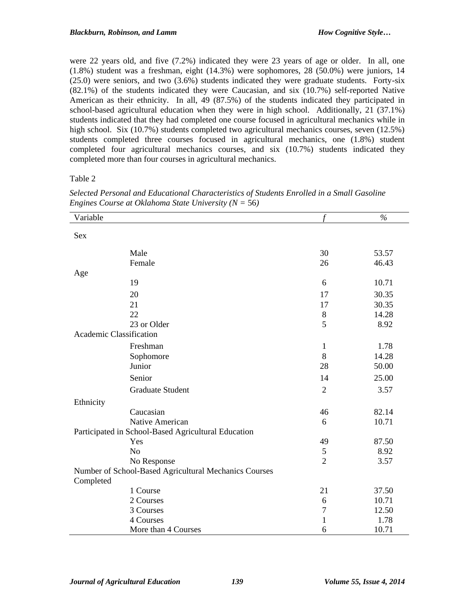were 22 years old, and five (7.2%) indicated they were 23 years of age or older. In all, one (1.8%) student was a freshman, eight (14.3%) were sophomores, 28 (50.0%) were juniors, 14 (25.0) were seniors, and two (3.6%) students indicated they were graduate students. Forty-six (82.1%) of the students indicated they were Caucasian, and six (10.7%) self-reported Native American as their ethnicity. In all, 49 (87.5%) of the students indicated they participated in school-based agricultural education when they were in high school. Additionally, 21 (37.1%) students indicated that they had completed one course focused in agricultural mechanics while in high school. Six (10.7%) students completed two agricultural mechanics courses, seven (12.5%) students completed three courses focused in agricultural mechanics, one (1.8%) student completed four agricultural mechanics courses, and six (10.7%) students indicated they completed more than four courses in agricultural mechanics.

#### Table 2

| Variable                       |                                                       |                | $\frac{6}{6}$ |
|--------------------------------|-------------------------------------------------------|----------------|---------------|
| Sex                            |                                                       |                |               |
|                                |                                                       |                |               |
|                                | Male                                                  | 30             | 53.57         |
|                                | Female                                                | 26             | 46.43         |
| Age                            |                                                       |                |               |
|                                | 19                                                    | 6              | 10.71         |
|                                | 20                                                    | 17             | 30.35         |
|                                | 21                                                    | 17             | 30.35         |
|                                | 22                                                    | 8              | 14.28         |
|                                | 23 or Older                                           | 5              | 8.92          |
| <b>Academic Classification</b> |                                                       |                |               |
|                                | Freshman                                              | $\mathbf{1}$   | 1.78          |
|                                | Sophomore                                             | 8              | 14.28         |
|                                | Junior                                                | 28             | 50.00         |
|                                | Senior                                                | 14             | 25.00         |
|                                | <b>Graduate Student</b>                               | $\mathbf{2}$   | 3.57          |
| Ethnicity                      |                                                       |                |               |
|                                | Caucasian                                             | 46             | 82.14         |
|                                | Native American                                       | 6              | 10.71         |
|                                | Participated in School-Based Agricultural Education   |                |               |
|                                | Yes                                                   | 49             | 87.50         |
|                                | N <sub>o</sub>                                        | 5              | 8.92          |
|                                | No Response                                           | $\overline{2}$ | 3.57          |
|                                | Number of School-Based Agricultural Mechanics Courses |                |               |
| Completed                      |                                                       |                |               |
|                                | 1 Course                                              | 21             | 37.50         |
|                                | 2 Courses                                             | 6              | 10.71         |
|                                | 3 Courses                                             | 7              | 12.50         |
|                                | 4 Courses                                             | $\mathbf{1}$   | 1.78          |
|                                | More than 4 Courses                                   | 6              | 10.71         |

*Selected Personal and Educational Characteristics of Students Enrolled in a Small Gasoline Engines Course at Oklahoma State University (N =* 56*)*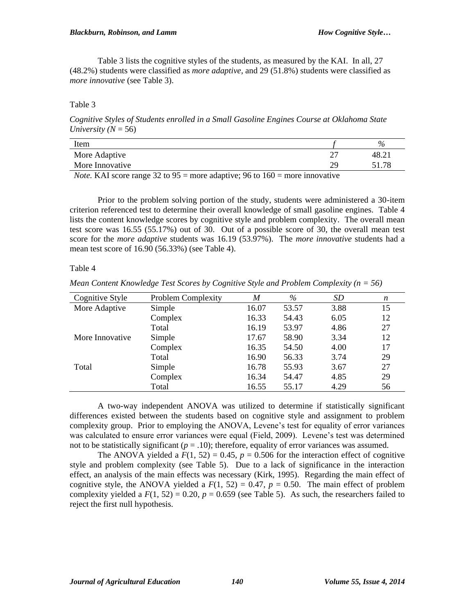Table 3 lists the cognitive styles of the students, as measured by the KAI. In all, 27 (48.2%) students were classified as *more adaptive,* and 29 (51.8%) students were classified as *more innovative* (see Table 3).

Table 3

*Cognitive Styles of Students enrolled in a Small Gasoline Engines Course at Oklahoma State University* ( $N = 56$ )

| Item                                   |                               |                                                         |   | $\%$              |
|----------------------------------------|-------------------------------|---------------------------------------------------------|---|-------------------|
| More Adaptive                          |                               |                                                         | ∸ | 48.2 <sub>1</sub> |
| More Innovative                        |                               |                                                         |   |                   |
| $\mathbf{r}$ $\mathbf{r}$ $\mathbf{r}$ | $\mathbf{a} \cdot \mathbf{b}$ | $\sim$ $\sim$ $\sim$ $\sim$ $\sim$ $\sim$ $\sim$ $\sim$ |   |                   |

*Note.* KAI score range 32 to 95 = more adaptive; 96 to  $160$  = more innovative

Prior to the problem solving portion of the study, students were administered a 30-item criterion referenced test to determine their overall knowledge of small gasoline engines. Table 4 lists the content knowledge scores by cognitive style and problem complexity. The overall mean test score was 16.55 (55.17%) out of 30. Out of a possible score of 30, the overall mean test score for the *more adaptive* students was 16.19 (53.97%). The *more innovative* students had a mean test score of 16.90 (56.33%) (see Table 4).

Table 4

*Mean Content Knowledge Test Scores by Cognitive Style and Problem Complexity (n = 56)*

| Cognitive Style | <b>Problem Complexity</b> | M     | %     | SD   | n  |
|-----------------|---------------------------|-------|-------|------|----|
| More Adaptive   | Simple                    | 16.07 | 53.57 | 3.88 | 15 |
|                 | Complex                   | 16.33 | 54.43 | 6.05 | 12 |
|                 | Total                     | 16.19 | 53.97 | 4.86 | 27 |
| More Innovative | Simple                    | 17.67 | 58.90 | 3.34 | 12 |
|                 | Complex                   | 16.35 | 54.50 | 4.00 | 17 |
|                 | Total                     | 16.90 | 56.33 | 3.74 | 29 |
| Total           | Simple                    | 16.78 | 55.93 | 3.67 | 27 |
|                 | Complex                   | 16.34 | 54.47 | 4.85 | 29 |
|                 | Total                     | 16.55 | 55.17 | 4.29 | 56 |

A two-way independent ANOVA was utilized to determine if statistically significant differences existed between the students based on cognitive style and assignment to problem complexity group. Prior to employing the ANOVA, Levene's test for equality of error variances was calculated to ensure error variances were equal (Field, 2009). Levene's test was determined not to be statistically significant ( $p = .10$ ); therefore, equality of error variances was assumed.

The ANOVA yielded a  $F(1, 52) = 0.45$ ,  $p = 0.506$  for the interaction effect of cognitive style and problem complexity (see Table 5). Due to a lack of significance in the interaction effect, an analysis of the main effects was necessary (Kirk, 1995). Regarding the main effect of cognitive style, the ANOVA yielded a  $F(1, 52) = 0.47$ ,  $p = 0.50$ . The main effect of problem complexity yielded a  $F(1, 52) = 0.20$ ,  $p = 0.659$  (see Table 5). As such, the researchers failed to reject the first null hypothesis.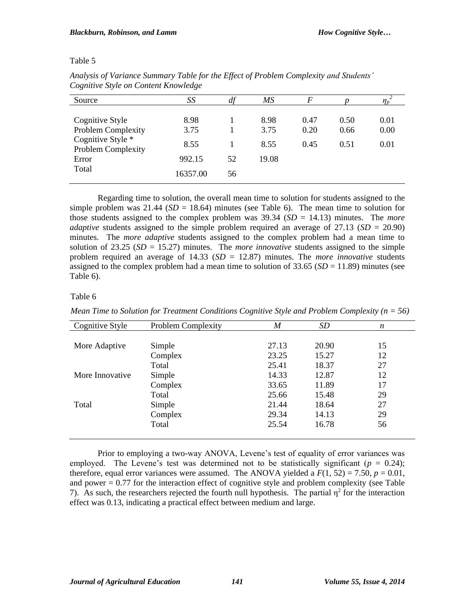# Table 5

| Source                                                                                                    | SS                                         | df       | МS                            | $\overline{F}$       |                      |                      |
|-----------------------------------------------------------------------------------------------------------|--------------------------------------------|----------|-------------------------------|----------------------|----------------------|----------------------|
| Cognitive Style<br><b>Problem Complexity</b><br>Cognitive Style *<br>Problem Complexity<br>Error<br>Total | 8.98<br>3.75<br>8.55<br>992.15<br>16357.00 | 52<br>56 | 8.98<br>3.75<br>8.55<br>19.08 | 0.47<br>0.20<br>0.45 | 0.50<br>0.66<br>0.51 | 0.01<br>0.00<br>0.01 |

*Analysis of Variance Summary Table for the Effect of Problem Complexity and Students' Cognitive Style on Content Knowledge*

Regarding time to solution, the overall mean time to solution for students assigned to the simple problem was  $21.44$  (*SD* = 18.64) minutes (see Table 6). The mean time to solution for those students assigned to the complex problem was 39.34 (*SD* = 14.13) minutes. The *more adaptive* students assigned to the simple problem required an average of  $27.13$  (*SD* = 20.90) minutes. The *more adaptive* students assigned to the complex problem had a mean time to solution of 23.25 (*SD* = 15.27) minutes. The *more innovative* students assigned to the simple problem required an average of 14.33 (*SD* = 12.87) minutes. The *more innovative* students assigned to the complex problem had a mean time to solution of  $33.65$  ( $SD = 11.89$ ) minutes (see Table 6).

# Table 6

| Cognitive Style | <b>Problem Complexity</b> | $\boldsymbol{M}$ | SD    | n  |
|-----------------|---------------------------|------------------|-------|----|
|                 |                           |                  |       |    |
| More Adaptive   | Simple                    | 27.13            | 20.90 | 15 |
|                 | Complex                   | 23.25            | 15.27 | 12 |
|                 | Total                     | 25.41            | 18.37 | 27 |
| More Innovative | Simple                    | 14.33            | 12.87 | 12 |
|                 | Complex                   | 33.65            | 11.89 | 17 |
|                 | Total                     | 25.66            | 15.48 | 29 |
| Total           | Simple                    | 21.44            | 18.64 | 27 |
|                 | Complex                   | 29.34            | 14.13 | 29 |
|                 | Total                     | 25.54            | 16.78 | 56 |
|                 |                           |                  |       |    |

*Mean Time to Solution for Treatment Conditions Cognitive Style and Problem Complexity (n = 56)*

Prior to employing a two-way ANOVA, Levene's test of equality of error variances was employed. The Levene's test was determined not to be statistically significant ( $p = 0.24$ ); therefore, equal error variances were assumed. The ANOVA yielded a  $F(1, 52) = 7.50$ ,  $p = 0.01$ , and power  $= 0.77$  for the interaction effect of cognitive style and problem complexity (see Table 7). As such, the researchers rejected the fourth null hypothesis. The partial  $\eta^2$  for the interaction effect was 0.13, indicating a practical effect between medium and large.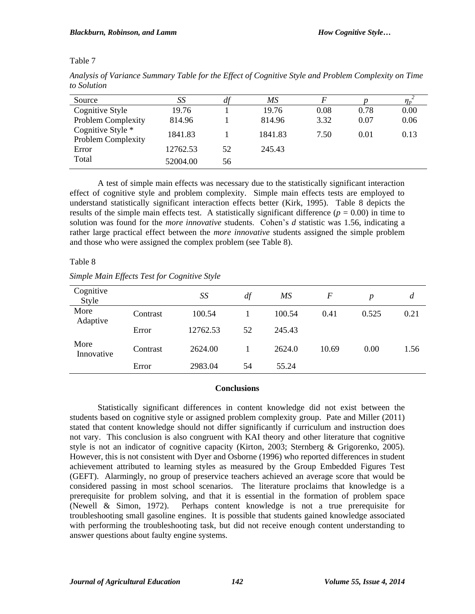# Table 7

| Source                                  | SS       | $\mu$ | МS      |      |      |      |
|-----------------------------------------|----------|-------|---------|------|------|------|
| Cognitive Style                         | 19.76    |       | 19.76   | 0.08 | 0.78 | 0.00 |
| Problem Complexity                      | 814.96   |       | 814.96  | 3.32 | 0.07 | 0.06 |
| Cognitive Style *<br>Problem Complexity | 1841.83  |       | 1841.83 | 7.50 | 0.01 | 0.13 |
| Error                                   | 12762.53 | 52    | 245.43  |      |      |      |
| Total                                   | 52004.00 | 56    |         |      |      |      |

*Analysis of Variance Summary Table for the Effect of Cognitive Style and Problem Complexity on Time to Solution*

A test of simple main effects was necessary due to the statistically significant interaction effect of cognitive style and problem complexity. Simple main effects tests are employed to understand statistically significant interaction effects better (Kirk, 1995). Table 8 depicts the results of the simple main effects test. A statistically significant difference ( $p = 0.00$ ) in time to solution was found for the *more innovative* students. Cohen's *d* statistic was 1.56, indicating a rather large practical effect between the *more innovative* students assigned the simple problem and those who were assigned the complex problem (see Table 8).

# Table 8

|  |  | Simple Main Effects Test for Cognitive Style |  |
|--|--|----------------------------------------------|--|
|  |  |                                              |  |

| Cognitive<br>Style |          | SS       | df | MS     | F     | p     | d    |
|--------------------|----------|----------|----|--------|-------|-------|------|
| More<br>Adaptive   | Contrast | 100.54   |    | 100.54 | 0.41  | 0.525 | 0.21 |
|                    | Error    | 12762.53 | 52 | 245.43 |       |       |      |
| More<br>Innovative | Contrast | 2624.00  |    | 2624.0 | 10.69 | 0.00  | 1.56 |
|                    | Error    | 2983.04  | 54 | 55.24  |       |       |      |

# **Conclusions**

Statistically significant differences in content knowledge did not exist between the students based on cognitive style or assigned problem complexity group. Pate and Miller (2011) stated that content knowledge should not differ significantly if curriculum and instruction does not vary. This conclusion is also congruent with KAI theory and other literature that cognitive style is not an indicator of cognitive capacity (Kirton, 2003; Sternberg & Grigorenko, 2005). However, this is not consistent with Dyer and Osborne (1996) who reported differences in student achievement attributed to learning styles as measured by the Group Embedded Figures Test (GEFT). Alarmingly, no group of preservice teachers achieved an average score that would be considered passing in most school scenarios. The literature proclaims that knowledge is a prerequisite for problem solving, and that it is essential in the formation of problem space (Newell & Simon, 1972). Perhaps content knowledge is not a true prerequisite for troubleshooting small gasoline engines. It is possible that students gained knowledge associated with performing the troubleshooting task, but did not receive enough content understanding to answer questions about faulty engine systems.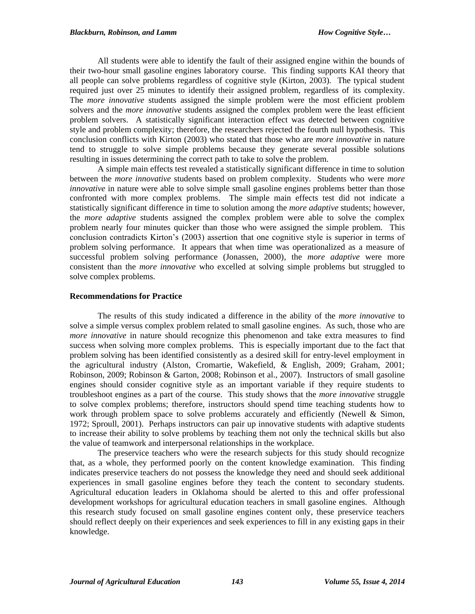All students were able to identify the fault of their assigned engine within the bounds of their two-hour small gasoline engines laboratory course. This finding supports KAI theory that all people can solve problems regardless of cognitive style (Kirton, 2003). The typical student required just over 25 minutes to identify their assigned problem, regardless of its complexity. The *more innovative* students assigned the simple problem were the most efficient problem solvers and the *more innovative* students assigned the complex problem were the least efficient problem solvers. A statistically significant interaction effect was detected between cognitive style and problem complexity; therefore, the researchers rejected the fourth null hypothesis. This conclusion conflicts with Kirton (2003) who stated that those who are *more innovative* in nature tend to struggle to solve simple problems because they generate several possible solutions resulting in issues determining the correct path to take to solve the problem.

A simple main effects test revealed a statistically significant difference in time to solution between the *more innovative* students based on problem complexity. Students who were *more innovative* in nature were able to solve simple small gasoline engines problems better than those confronted with more complex problems. The simple main effects test did not indicate a statistically significant difference in time to solution among the *more adaptive* students; however, the *more adaptive* students assigned the complex problem were able to solve the complex problem nearly four minutes quicker than those who were assigned the simple problem. This conclusion contradicts Kirton's (2003) assertion that one cognitive style is superior in terms of problem solving performance. It appears that when time was operationalized as a measure of successful problem solving performance (Jonassen, 2000), the *more adaptive* were more consistent than the *more innovative* who excelled at solving simple problems but struggled to solve complex problems.

## **Recommendations for Practice**

The results of this study indicated a difference in the ability of the *more innovative* to solve a simple versus complex problem related to small gasoline engines. As such, those who are *more innovative* in nature should recognize this phenomenon and take extra measures to find success when solving more complex problems. This is especially important due to the fact that problem solving has been identified consistently as a desired skill for entry-level employment in the agricultural industry (Alston, Cromartie, Wakefield, & English, 2009; Graham, 2001; Robinson, 2009; Robinson & Garton, 2008; Robinson et al., 2007). Instructors of small gasoline engines should consider cognitive style as an important variable if they require students to troubleshoot engines as a part of the course. This study shows that the *more innovative* struggle to solve complex problems; therefore, instructors should spend time teaching students how to work through problem space to solve problems accurately and efficiently (Newell & Simon, 1972; Sproull, 2001). Perhaps instructors can pair up innovative students with adaptive students to increase their ability to solve problems by teaching them not only the technical skills but also the value of teamwork and interpersonal relationships in the workplace.

The preservice teachers who were the research subjects for this study should recognize that, as a whole, they performed poorly on the content knowledge examination. This finding indicates preservice teachers do not possess the knowledge they need and should seek additional experiences in small gasoline engines before they teach the content to secondary students. Agricultural education leaders in Oklahoma should be alerted to this and offer professional development workshops for agricultural education teachers in small gasoline engines. Although this research study focused on small gasoline engines content only, these preservice teachers should reflect deeply on their experiences and seek experiences to fill in any existing gaps in their knowledge.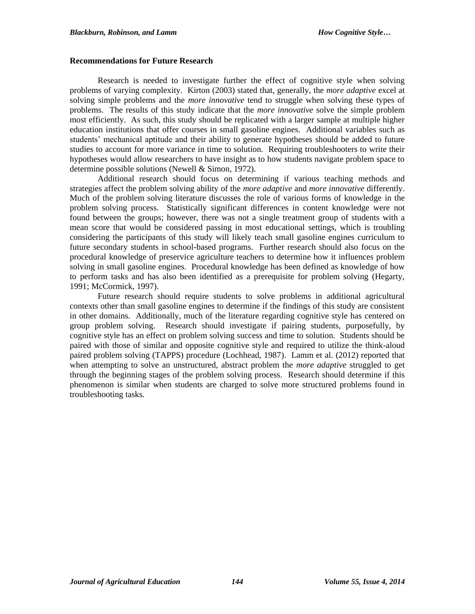#### **Recommendations for Future Research**

Research is needed to investigate further the effect of cognitive style when solving problems of varying complexity. Kirton (2003) stated that, generally, the *more adaptive* excel at solving simple problems and the *more innovative* tend to struggle when solving these types of problems. The results of this study indicate that the *more innovative* solve the simple problem most efficiently. As such, this study should be replicated with a larger sample at multiple higher education institutions that offer courses in small gasoline engines. Additional variables such as students' mechanical aptitude and their ability to generate hypotheses should be added to future studies to account for more variance in time to solution. Requiring troubleshooters to write their hypotheses would allow researchers to have insight as to how students navigate problem space to determine possible solutions (Newell & Simon, 1972).

Additional research should focus on determining if various teaching methods and strategies affect the problem solving ability of the *more adaptive* and *more innovative* differently. Much of the problem solving literature discusses the role of various forms of knowledge in the problem solving process. Statistically significant differences in content knowledge were not found between the groups; however, there was not a single treatment group of students with a mean score that would be considered passing in most educational settings, which is troubling considering the participants of this study will likely teach small gasoline engines curriculum to future secondary students in school-based programs. Further research should also focus on the procedural knowledge of preservice agriculture teachers to determine how it influences problem solving in small gasoline engines. Procedural knowledge has been defined as knowledge of how to perform tasks and has also been identified as a prerequisite for problem solving (Hegarty, 1991; McCormick, 1997).

Future research should require students to solve problems in additional agricultural contexts other than small gasoline engines to determine if the findings of this study are consistent in other domains. Additionally, much of the literature regarding cognitive style has centered on group problem solving. Research should investigate if pairing students, purposefully, by cognitive style has an effect on problem solving success and time to solution. Students should be paired with those of similar and opposite cognitive style and required to utilize the think-aloud paired problem solving (TAPPS) procedure (Lochhead, 1987). Lamm et al. (2012) reported that when attempting to solve an unstructured, abstract problem the *more adaptive* struggled to get through the beginning stages of the problem solving process. Research should determine if this phenomenon is similar when students are charged to solve more structured problems found in troubleshooting tasks.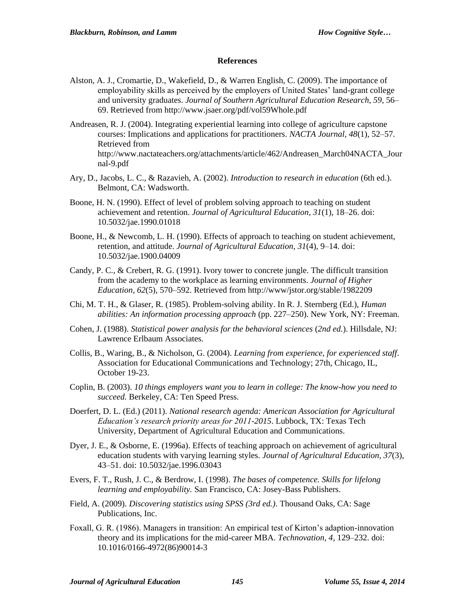#### **References**

- Alston, A. J., Cromartie, D., Wakefield, D., & Warren English, C. (2009). The importance of employability skills as perceived by the employers of United States' land-grant college and university graduates. *Journal of Southern Agricultural Education Research, 59*, 56– 69. Retrieved from http://www.jsaer.org/pdf/vol59Whole.pdf
- Andreasen, R. J. (2004). Integrating experiential learning into college of agriculture capstone courses: Implications and applications for practitioners. *NACTA Journal, 48*(1), 52–57. Retrieved from http://www.nactateachers.org/attachments/article/462/Andreasen\_March04NACTA\_Jour nal-9.pdf
- Ary, D., Jacobs, L. C., & Razavieh, A. (2002). *Introduction to research in education* (6th ed.). Belmont, CA: Wadsworth.
- Boone, H. N. (1990). Effect of level of problem solving approach to teaching on student achievement and retention. *Journal of Agricultural Education, 31*(1), 18–26. doi: 10.5032/jae.1990.01018
- Boone, H., & Newcomb, L. H. (1990). Effects of approach to teaching on student achievement, retention, and attitude. *Journal of Agricultural Education, 31*(4), 9–14. doi: 10.5032/jae.1900.04009
- Candy, P. C., & Crebert, R. G. (1991). Ivory tower to concrete jungle. The difficult transition from the academy to the workplace as learning environments. *Journal of Higher Education, 62*(5), 570–592. Retrieved from http://www/jstor.org/stable/1982209
- Chi, M. T. H., & Glaser, R. (1985). Problem-solving ability. In R. J. Sternberg (Ed.), *Human abilities: An information processing approach* (pp. 227–250). New York, NY: Freeman.
- Cohen, J. (1988). *Statistical power analysis for the behavioral sciences* (*2nd ed.*). Hillsdale, NJ: Lawrence Erlbaum Associates.
- Collis, B., Waring, B., & Nicholson, G. (2004). *Learning from experience, for experienced staff*. Association for Educational Communications and Technology; 27th, Chicago, IL, October 19-23.
- Coplin, B. (2003). *10 things employers want you to learn in college: The know-how you need to succeed.* Berkeley, CA: Ten Speed Press.
- Doerfert, D. L. (Ed.) (2011). *National research agenda: American Association for Agricultural Education's research priority areas for 2011-2015*. Lubbock, TX: Texas Tech University, Department of Agricultural Education and Communications.
- Dyer, J. E., & Osborne, E. (1996a). Effects of teaching approach on achievement of agricultural education students with varying learning styles. *Journal of Agricultural Education, 37*(3), 43–51. doi: 10.5032/jae.1996.03043
- Evers, F. T., Rush, J. C., & Berdrow, I. (1998). *The bases of competence. Skills for lifelong learning and employability.* San Francisco, CA: Josey-Bass Publishers.
- Field, A. (2009). *Discovering statistics using SPSS (3rd ed.)*. Thousand Oaks, CA: Sage Publications, Inc.
- Foxall, G. R. (1986). Managers in transition: An empirical test of Kirton's adaption-innovation theory and its implications for the mid-career MBA. *Technovation, 4*, 129–232. doi: 10.1016/0166-4972(86)90014-3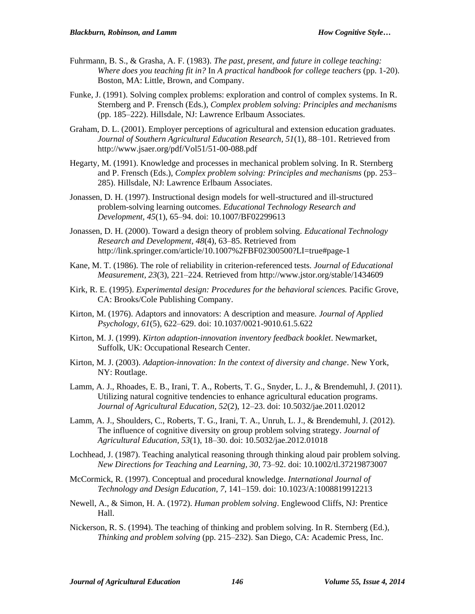- Fuhrmann, B. S., & Grasha, A. F. (1983). *The past, present, and future in college teaching: Where does you teaching fit in?* In *A practical handbook for college teachers* (pp. 1-20). Boston, MA: Little, Brown, and Company.
- Funke, J. (1991). Solving complex problems: exploration and control of complex systems. In R. Sternberg and P. Frensch (Eds.), *Complex problem solving: Principles and mechanisms* (pp. 185–222). Hillsdale, NJ: Lawrence Erlbaum Associates.
- Graham, D. L. (2001). Employer perceptions of agricultural and extension education graduates. *Journal of Southern Agricultural Education Research, 51*(1), 88–101. Retrieved from http://www.jsaer.org/pdf/Vol51/51-00-088.pdf
- Hegarty, M. (1991). Knowledge and processes in mechanical problem solving. In R. Sternberg and P. Frensch (Eds.), *Complex problem solving: Principles and mechanisms* (pp. 253– 285). Hillsdale, NJ: Lawrence Erlbaum Associates.
- Jonassen, D. H. (1997). Instructional design models for well-structured and ill-structured problem-solving learning outcomes. *Educational Technology Research and Development, 45*(1), 65–94. doi: 10.1007/BF02299613
- Jonassen, D. H. (2000). Toward a design theory of problem solving. *Educational Technology Research and Development, 48*(4), 63–85. Retrieved from http://link.springer.com/article/10.1007%2FBF02300500?LI=true#page-1
- Kane, M. T. (1986). The role of reliability in criterion-referenced tests. *Journal of Educational Measurement, 23*(3), 221–224. Retrieved from http://www.jstor.org/stable/1434609
- Kirk, R. E. (1995). *Experimental design: Procedures for the behavioral sciences.* Pacific Grove, CA: Brooks/Cole Publishing Company.
- Kirton, M. (1976). Adaptors and innovators: A description and measure. *Journal of Applied Psychology, 61*(5), 622–629. doi: 10.1037/0021-9010.61.5.622
- Kirton, M. J. (1999). *Kirton adaption-innovation inventory feedback booklet*. Newmarket, Suffolk, UK: Occupational Research Center.
- Kirton, M. J. (2003). *Adaption-innovation: In the context of diversity and change*. New York, NY: Routlage.
- Lamm, A. J., Rhoades, E. B., Irani, T. A., Roberts, T. G., Snyder, L. J., & Brendemuhl, J. (2011). Utilizing natural cognitive tendencies to enhance agricultural education programs. *Journal of Agricultural Education, 52*(2), 12–23. doi: 10.5032/jae.2011.02012
- Lamm, A. J., Shoulders, C., Roberts, T. G., Irani, T. A., Unruh, L. J., & Brendemuhl, J. (2012). The influence of cognitive diversity on group problem solving strategy. *Journal of Agricultural Education, 53*(1), 18–30. doi: 10.5032/jae.2012.01018
- Lochhead, J. (1987). Teaching analytical reasoning through thinking aloud pair problem solving. *New Directions for Teaching and Learning, 30*, 73–92. doi: 10.1002/tl.37219873007
- McCormick, R. (1997). Conceptual and procedural knowledge. *International Journal of Technology and Design Education, 7*, 141–159. doi: 10.1023/A:1008819912213
- Newell, A., & Simon, H. A. (1972). *Human problem solving*. Englewood Cliffs, NJ: Prentice Hall.
- Nickerson, R. S. (1994). The teaching of thinking and problem solving. In R. Sternberg (Ed.), *Thinking and problem solving* (pp. 215–232). San Diego, CA: Academic Press, Inc.